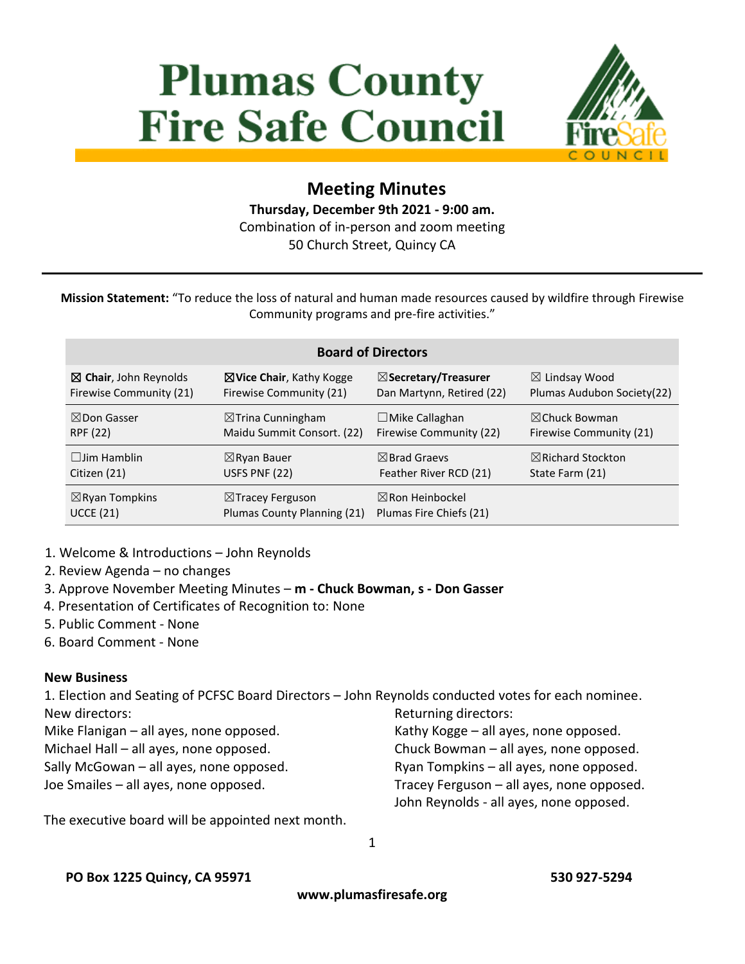# **Plumas County Fire Safe Council**



# **Meeting Minutes Thursday, December 9th 2021 - 9:00 am.** Combination of in-person and zoom meeting

50 Church Street, Quincy CA

**Mission Statement:** "To reduce the loss of natural and human made resources caused by wildfire through Firewise Community programs and pre-fire activities."

#### **Board of Directors**

| $\boxtimes$ Chair, John Reynolds | ⊠ Vice Chair, Kathy Kogge    | $\boxtimes$ Secretary/Treasurer | $\boxtimes$ Lindsay Wood     |
|----------------------------------|------------------------------|---------------------------------|------------------------------|
| Firewise Community (21)          | Firewise Community (21)      | Dan Martynn, Retired (22)       | Plumas Audubon Society(22)   |
| $\boxtimes$ Don Gasser           | $\boxtimes$ Trina Cunningham | $\Box$ Mike Callaghan           | $\boxtimes$ Chuck Bowman     |
| <b>RPF (22)</b>                  | Maidu Summit Consort. (22)   | Firewise Community (22)         | Firewise Community (21)      |
| $\Box$ Jim Hamblin               | $\boxtimes$ Ryan Bauer       | $\boxtimes$ Brad Graevs         | $\boxtimes$ Richard Stockton |
| Citizen (21)                     | USFS PNF (22)                | Feather River RCD (21)          | State Farm (21)              |
| $\boxtimes$ Ryan Tompkins        | $\boxtimes$ Tracey Ferguson  | $\boxtimes$ Ron Heinbockel      |                              |
| <b>UCCE (21)</b>                 | Plumas County Planning (21)  | Plumas Fire Chiefs (21)         |                              |

- 1. Welcome & Introductions John Reynolds
- 2. Review Agenda no changes

3. Approve November Meeting Minutes – **m - Chuck Bowman, s - Don Gasser**

- 4. Presentation of Certificates of Recognition to: None
- 5. Public Comment None
- 6. Board Comment None

#### **New Business**

1. Election and Seating of PCFSC Board Directors – John Reynolds conducted votes for each nominee. New directors: Returning directors:

- Mike Flanigan all ayes, none opposed.
- Michael Hall all ayes, none opposed.
- Sally McGowan all ayes, none opposed.

Joe Smailes – all ayes, none opposed.

The executive board will be appointed next month.

Kathy Kogge – all ayes, none opposed. Chuck Bowman – all ayes, none opposed. Ryan Tompkins – all ayes, none opposed. Tracey Ferguson – all ayes, none opposed. John Reynolds - all ayes, none opposed.

1

**PO Box 1225 Quincy, CA 95971 530 927-5294** 

**www.plumasfiresafe.org**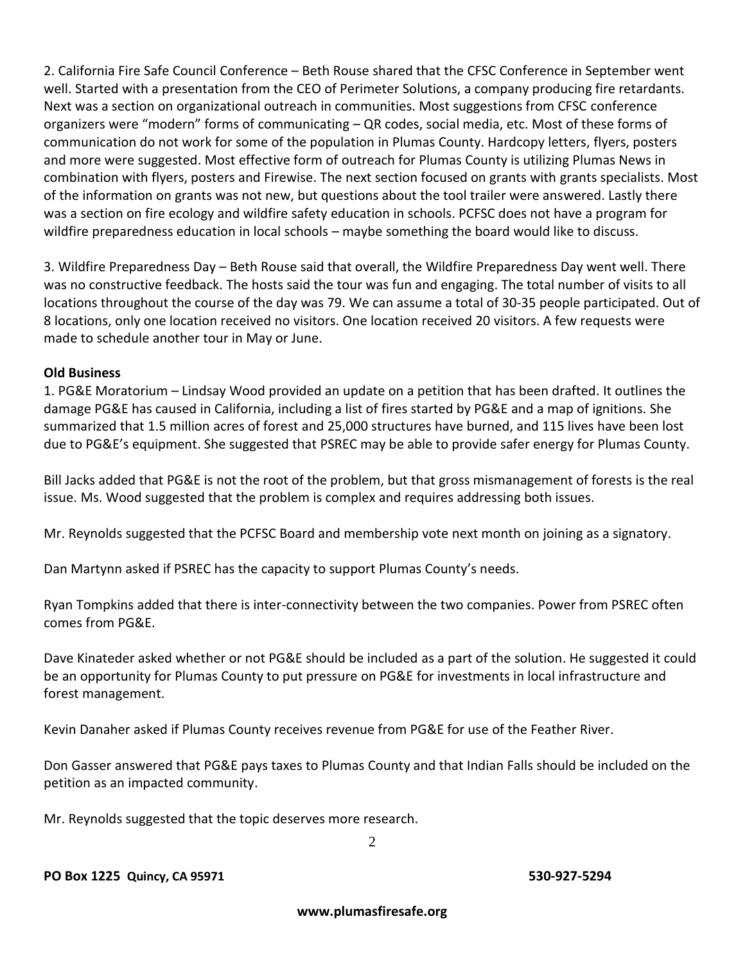2. California Fire Safe Council Conference – Beth Rouse shared that the CFSC Conference in September went well. Started with a presentation from the CEO of Perimeter Solutions, a company producing fire retardants. Next was a section on organizational outreach in communities. Most suggestions from CFSC conference organizers were "modern" forms of communicating – QR codes, social media, etc. Most of these forms of communication do not work for some of the population in Plumas County. Hardcopy letters, flyers, posters and more were suggested. Most effective form of outreach for Plumas County is utilizing Plumas News in combination with flyers, posters and Firewise. The next section focused on grants with grants specialists. Most of the information on grants was not new, but questions about the tool trailer were answered. Lastly there was a section on fire ecology and wildfire safety education in schools. PCFSC does not have a program for wildfire preparedness education in local schools – maybe something the board would like to discuss.

3. Wildfire Preparedness Day – Beth Rouse said that overall, the Wildfire Preparedness Day went well. There was no constructive feedback. The hosts said the tour was fun and engaging. The total number of visits to all locations throughout the course of the day was 79. We can assume a total of 30-35 people participated. Out of 8 locations, only one location received no visitors. One location received 20 visitors. A few requests were made to schedule another tour in May or June.

#### **Old Business**

1. PG&E Moratorium – Lindsay Wood provided an update on a petition that has been drafted. It outlines the damage PG&E has caused in California, including a list of fires started by PG&E and a map of ignitions. She summarized that 1.5 million acres of forest and 25,000 structures have burned, and 115 lives have been lost due to PG&E's equipment. She suggested that PSREC may be able to provide safer energy for Plumas County.

Bill Jacks added that PG&E is not the root of the problem, but that gross mismanagement of forests is the real issue. Ms. Wood suggested that the problem is complex and requires addressing both issues.

Mr. Reynolds suggested that the PCFSC Board and membership vote next month on joining as a signatory.

Dan Martynn asked if PSREC has the capacity to support Plumas County's needs.

Ryan Tompkins added that there is inter-connectivity between the two companies. Power from PSREC often comes from PG&E.

Dave Kinateder asked whether or not PG&E should be included as a part of the solution. He suggested it could be an opportunity for Plumas County to put pressure on PG&E for investments in local infrastructure and forest management.

Kevin Danaher asked if Plumas County receives revenue from PG&E for use of the Feather River.

Don Gasser answered that PG&E pays taxes to Plumas County and that Indian Falls should be included on the petition as an impacted community.

Mr. Reynolds suggested that the topic deserves more research.

2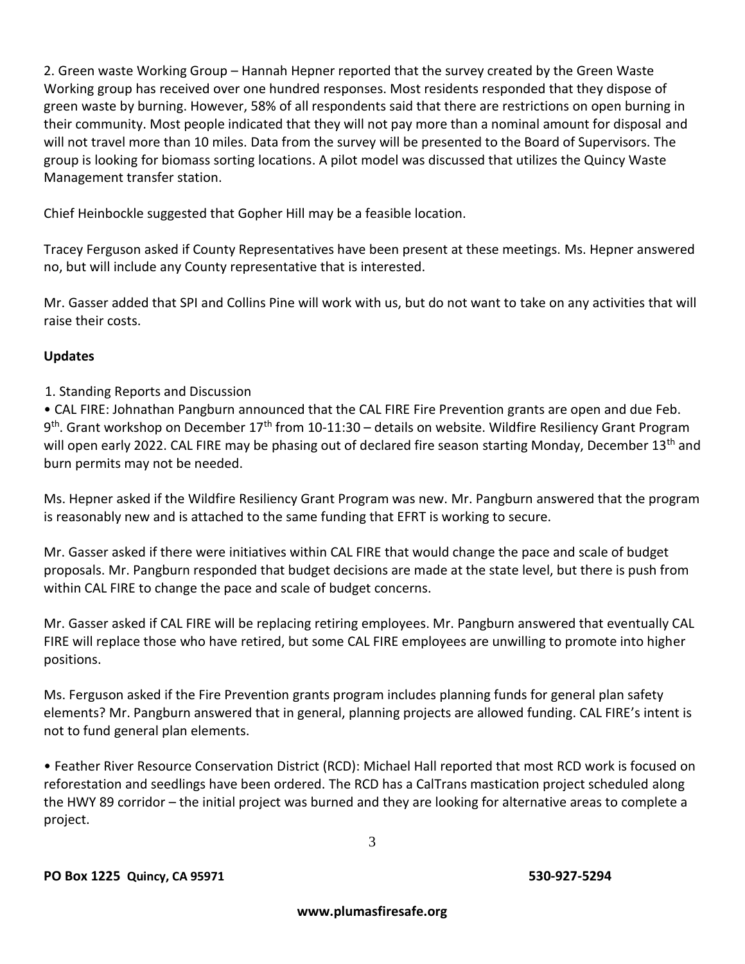2. Green waste Working Group – Hannah Hepner reported that the survey created by the Green Waste Working group has received over one hundred responses. Most residents responded that they dispose of green waste by burning. However, 58% of all respondents said that there are restrictions on open burning in their community. Most people indicated that they will not pay more than a nominal amount for disposal and will not travel more than 10 miles. Data from the survey will be presented to the Board of Supervisors. The group is looking for biomass sorting locations. A pilot model was discussed that utilizes the Quincy Waste Management transfer station.

Chief Heinbockle suggested that Gopher Hill may be a feasible location.

Tracey Ferguson asked if County Representatives have been present at these meetings. Ms. Hepner answered no, but will include any County representative that is interested.

Mr. Gasser added that SPI and Collins Pine will work with us, but do not want to take on any activities that will raise their costs.

## **Updates**

1. Standing Reports and Discussion

• CAL FIRE: Johnathan Pangburn announced that the CAL FIRE Fire Prevention grants are open and due Feb. 9<sup>th</sup>. Grant workshop on December 17<sup>th</sup> from 10-11:30 – details on website. Wildfire Resiliency Grant Program will open early 2022. CAL FIRE may be phasing out of declared fire season starting Monday, December 13<sup>th</sup> and burn permits may not be needed.

Ms. Hepner asked if the Wildfire Resiliency Grant Program was new. Mr. Pangburn answered that the program is reasonably new and is attached to the same funding that EFRT is working to secure.

Mr. Gasser asked if there were initiatives within CAL FIRE that would change the pace and scale of budget proposals. Mr. Pangburn responded that budget decisions are made at the state level, but there is push from within CAL FIRE to change the pace and scale of budget concerns.

Mr. Gasser asked if CAL FIRE will be replacing retiring employees. Mr. Pangburn answered that eventually CAL FIRE will replace those who have retired, but some CAL FIRE employees are unwilling to promote into higher positions.

Ms. Ferguson asked if the Fire Prevention grants program includes planning funds for general plan safety elements? Mr. Pangburn answered that in general, planning projects are allowed funding. CAL FIRE's intent is not to fund general plan elements.

• Feather River Resource Conservation District (RCD): Michael Hall reported that most RCD work is focused on reforestation and seedlings have been ordered. The RCD has a CalTrans mastication project scheduled along the HWY 89 corridor – the initial project was burned and they are looking for alternative areas to complete a project.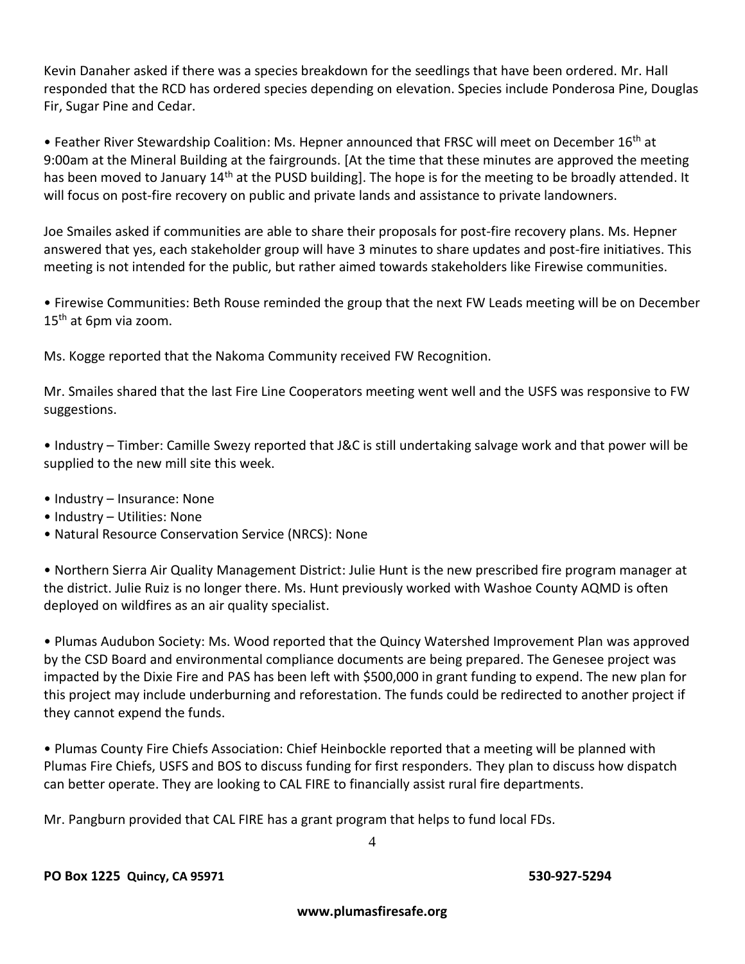Kevin Danaher asked if there was a species breakdown for the seedlings that have been ordered. Mr. Hall responded that the RCD has ordered species depending on elevation. Species include Ponderosa Pine, Douglas Fir, Sugar Pine and Cedar.

• Feather River Stewardship Coalition: Ms. Hepner announced that FRSC will meet on December 16<sup>th</sup> at 9:00am at the Mineral Building at the fairgrounds. [At the time that these minutes are approved the meeting has been moved to January 14<sup>th</sup> at the PUSD building]. The hope is for the meeting to be broadly attended. It will focus on post-fire recovery on public and private lands and assistance to private landowners.

Joe Smailes asked if communities are able to share their proposals for post-fire recovery plans. Ms. Hepner answered that yes, each stakeholder group will have 3 minutes to share updates and post-fire initiatives. This meeting is not intended for the public, but rather aimed towards stakeholders like Firewise communities.

• Firewise Communities: Beth Rouse reminded the group that the next FW Leads meeting will be on December 15<sup>th</sup> at 6pm via zoom.

Ms. Kogge reported that the Nakoma Community received FW Recognition.

Mr. Smailes shared that the last Fire Line Cooperators meeting went well and the USFS was responsive to FW suggestions.

• Industry – Timber: Camille Swezy reported that J&C is still undertaking salvage work and that power will be supplied to the new mill site this week.

- Industry Insurance: None
- Industry Utilities: None
- Natural Resource Conservation Service (NRCS): None

• Northern Sierra Air Quality Management District: Julie Hunt is the new prescribed fire program manager at the district. Julie Ruiz is no longer there. Ms. Hunt previously worked with Washoe County AQMD is often deployed on wildfires as an air quality specialist.

• Plumas Audubon Society: Ms. Wood reported that the Quincy Watershed Improvement Plan was approved by the CSD Board and environmental compliance documents are being prepared. The Genesee project was impacted by the Dixie Fire and PAS has been left with \$500,000 in grant funding to expend. The new plan for this project may include underburning and reforestation. The funds could be redirected to another project if they cannot expend the funds.

• Plumas County Fire Chiefs Association: Chief Heinbockle reported that a meeting will be planned with Plumas Fire Chiefs, USFS and BOS to discuss funding for first responders. They plan to discuss how dispatch can better operate. They are looking to CAL FIRE to financially assist rural fire departments.

Mr. Pangburn provided that CAL FIRE has a grant program that helps to fund local FDs.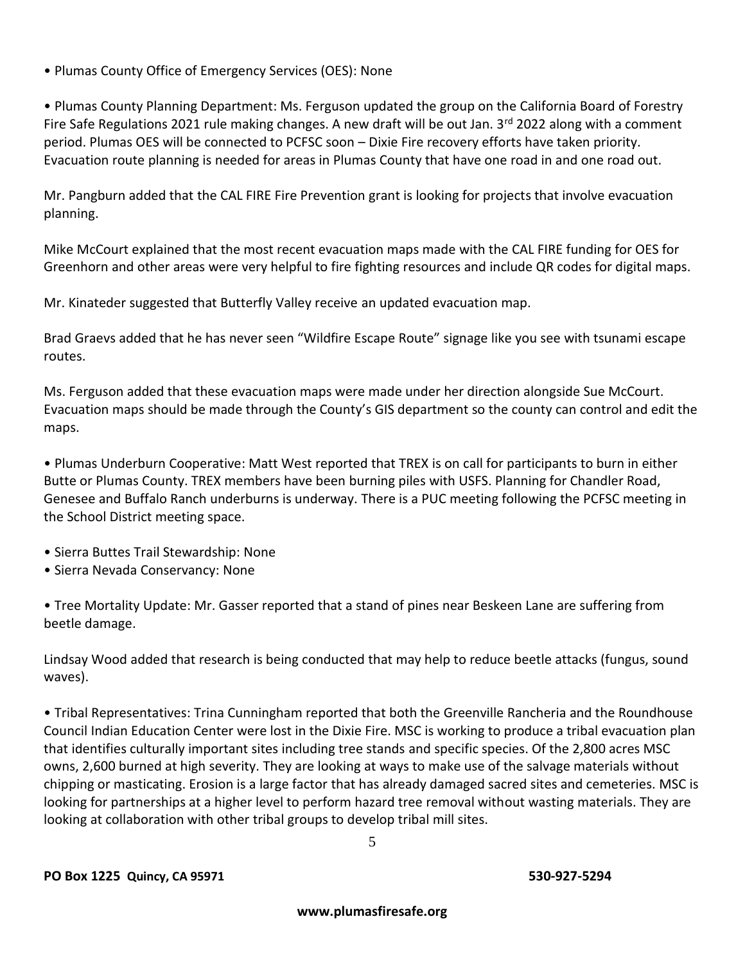• Plumas County Office of Emergency Services (OES): None

• Plumas County Planning Department: Ms. Ferguson updated the group on the California Board of Forestry Fire Safe Regulations 2021 rule making changes. A new draft will be out Jan.  $3^{rd}$  2022 along with a comment period. Plumas OES will be connected to PCFSC soon – Dixie Fire recovery efforts have taken priority. Evacuation route planning is needed for areas in Plumas County that have one road in and one road out.

Mr. Pangburn added that the CAL FIRE Fire Prevention grant is looking for projects that involve evacuation planning.

Mike McCourt explained that the most recent evacuation maps made with the CAL FIRE funding for OES for Greenhorn and other areas were very helpful to fire fighting resources and include QR codes for digital maps.

Mr. Kinateder suggested that Butterfly Valley receive an updated evacuation map.

Brad Graevs added that he has never seen "Wildfire Escape Route" signage like you see with tsunami escape routes.

Ms. Ferguson added that these evacuation maps were made under her direction alongside Sue McCourt. Evacuation maps should be made through the County's GIS department so the county can control and edit the maps.

• Plumas Underburn Cooperative: Matt West reported that TREX is on call for participants to burn in either Butte or Plumas County. TREX members have been burning piles with USFS. Planning for Chandler Road, Genesee and Buffalo Ranch underburns is underway. There is a PUC meeting following the PCFSC meeting in the School District meeting space.

- Sierra Buttes Trail Stewardship: None
- Sierra Nevada Conservancy: None

• Tree Mortality Update: Mr. Gasser reported that a stand of pines near Beskeen Lane are suffering from beetle damage.

Lindsay Wood added that research is being conducted that may help to reduce beetle attacks (fungus, sound waves).

• Tribal Representatives: Trina Cunningham reported that both the Greenville Rancheria and the Roundhouse Council Indian Education Center were lost in the Dixie Fire. MSC is working to produce a tribal evacuation plan that identifies culturally important sites including tree stands and specific species. Of the 2,800 acres MSC owns, 2,600 burned at high severity. They are looking at ways to make use of the salvage materials without chipping or masticating. Erosion is a large factor that has already damaged sacred sites and cemeteries. MSC is looking for partnerships at a higher level to perform hazard tree removal without wasting materials. They are looking at collaboration with other tribal groups to develop tribal mill sites.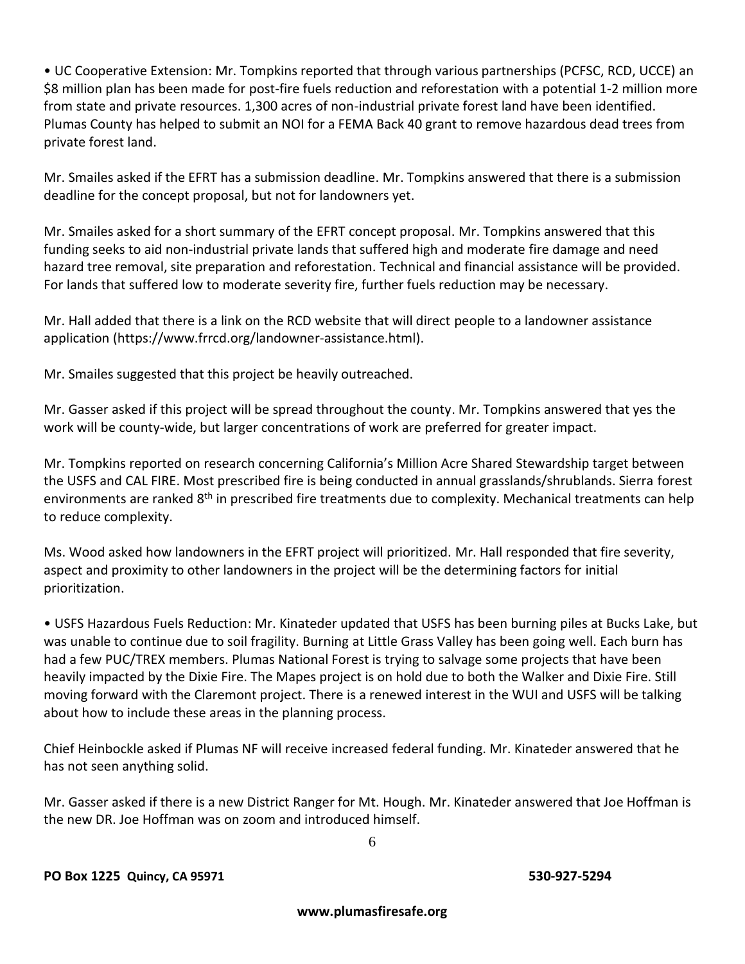• UC Cooperative Extension: Mr. Tompkins reported that through various partnerships (PCFSC, RCD, UCCE) an \$8 million plan has been made for post-fire fuels reduction and reforestation with a potential 1-2 million more from state and private resources. 1,300 acres of non-industrial private forest land have been identified. Plumas County has helped to submit an NOI for a FEMA Back 40 grant to remove hazardous dead trees from private forest land.

Mr. Smailes asked if the EFRT has a submission deadline. Mr. Tompkins answered that there is a submission deadline for the concept proposal, but not for landowners yet.

Mr. Smailes asked for a short summary of the EFRT concept proposal. Mr. Tompkins answered that this funding seeks to aid non-industrial private lands that suffered high and moderate fire damage and need hazard tree removal, site preparation and reforestation. Technical and financial assistance will be provided. For lands that suffered low to moderate severity fire, further fuels reduction may be necessary.

Mr. Hall added that there is a link on the RCD website that will direct people to a landowner assistance application (https://www.frrcd.org/landowner-assistance.html).

Mr. Smailes suggested that this project be heavily outreached.

Mr. Gasser asked if this project will be spread throughout the county. Mr. Tompkins answered that yes the work will be county-wide, but larger concentrations of work are preferred for greater impact.

Mr. Tompkins reported on research concerning California's Million Acre Shared Stewardship target between the USFS and CAL FIRE. Most prescribed fire is being conducted in annual grasslands/shrublands. Sierra forest environments are ranked 8<sup>th</sup> in prescribed fire treatments due to complexity. Mechanical treatments can help to reduce complexity.

Ms. Wood asked how landowners in the EFRT project will prioritized. Mr. Hall responded that fire severity, aspect and proximity to other landowners in the project will be the determining factors for initial prioritization.

• USFS Hazardous Fuels Reduction: Mr. Kinateder updated that USFS has been burning piles at Bucks Lake, but was unable to continue due to soil fragility. Burning at Little Grass Valley has been going well. Each burn has had a few PUC/TREX members. Plumas National Forest is trying to salvage some projects that have been heavily impacted by the Dixie Fire. The Mapes project is on hold due to both the Walker and Dixie Fire. Still moving forward with the Claremont project. There is a renewed interest in the WUI and USFS will be talking about how to include these areas in the planning process.

Chief Heinbockle asked if Plumas NF will receive increased federal funding. Mr. Kinateder answered that he has not seen anything solid.

Mr. Gasser asked if there is a new District Ranger for Mt. Hough. Mr. Kinateder answered that Joe Hoffman is the new DR. Joe Hoffman was on zoom and introduced himself.

6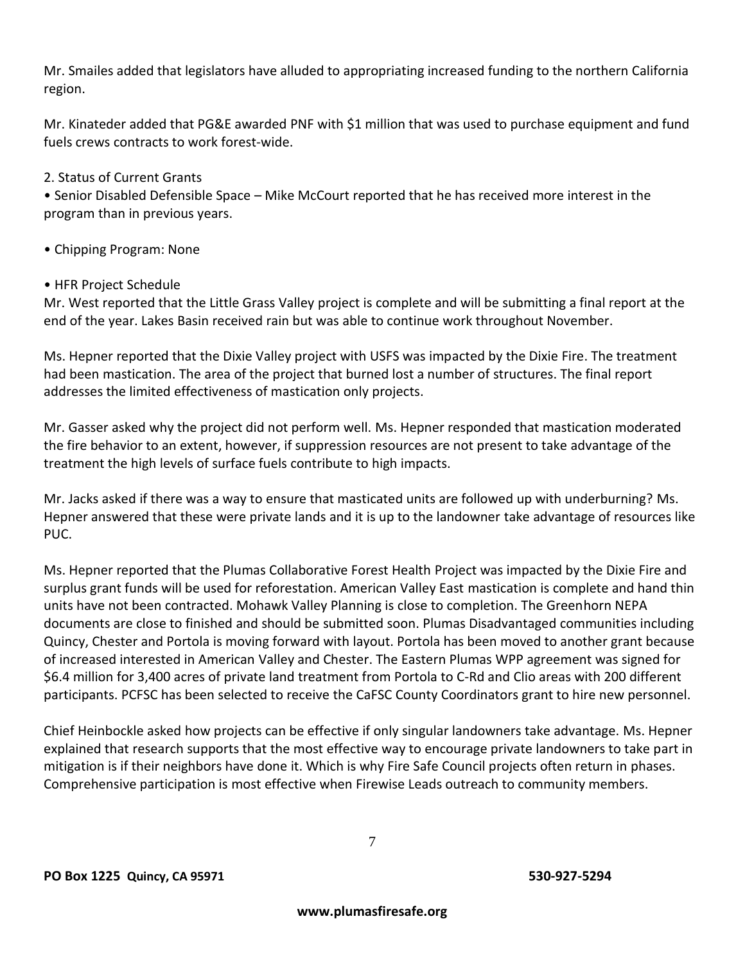Mr. Smailes added that legislators have alluded to appropriating increased funding to the northern California region.

Mr. Kinateder added that PG&E awarded PNF with \$1 million that was used to purchase equipment and fund fuels crews contracts to work forest-wide.

2. Status of Current Grants

• Senior Disabled Defensible Space – Mike McCourt reported that he has received more interest in the program than in previous years.

• Chipping Program: None

## • HFR Project Schedule

Mr. West reported that the Little Grass Valley project is complete and will be submitting a final report at the end of the year. Lakes Basin received rain but was able to continue work throughout November.

Ms. Hepner reported that the Dixie Valley project with USFS was impacted by the Dixie Fire. The treatment had been mastication. The area of the project that burned lost a number of structures. The final report addresses the limited effectiveness of mastication only projects.

Mr. Gasser asked why the project did not perform well. Ms. Hepner responded that mastication moderated the fire behavior to an extent, however, if suppression resources are not present to take advantage of the treatment the high levels of surface fuels contribute to high impacts.

Mr. Jacks asked if there was a way to ensure that masticated units are followed up with underburning? Ms. Hepner answered that these were private lands and it is up to the landowner take advantage of resources like PUC.

Ms. Hepner reported that the Plumas Collaborative Forest Health Project was impacted by the Dixie Fire and surplus grant funds will be used for reforestation. American Valley East mastication is complete and hand thin units have not been contracted. Mohawk Valley Planning is close to completion. The Greenhorn NEPA documents are close to finished and should be submitted soon. Plumas Disadvantaged communities including Quincy, Chester and Portola is moving forward with layout. Portola has been moved to another grant because of increased interested in American Valley and Chester. The Eastern Plumas WPP agreement was signed for \$6.4 million for 3,400 acres of private land treatment from Portola to C-Rd and Clio areas with 200 different participants. PCFSC has been selected to receive the CaFSC County Coordinators grant to hire new personnel.

Chief Heinbockle asked how projects can be effective if only singular landowners take advantage. Ms. Hepner explained that research supports that the most effective way to encourage private landowners to take part in mitigation is if their neighbors have done it. Which is why Fire Safe Council projects often return in phases. Comprehensive participation is most effective when Firewise Leads outreach to community members.